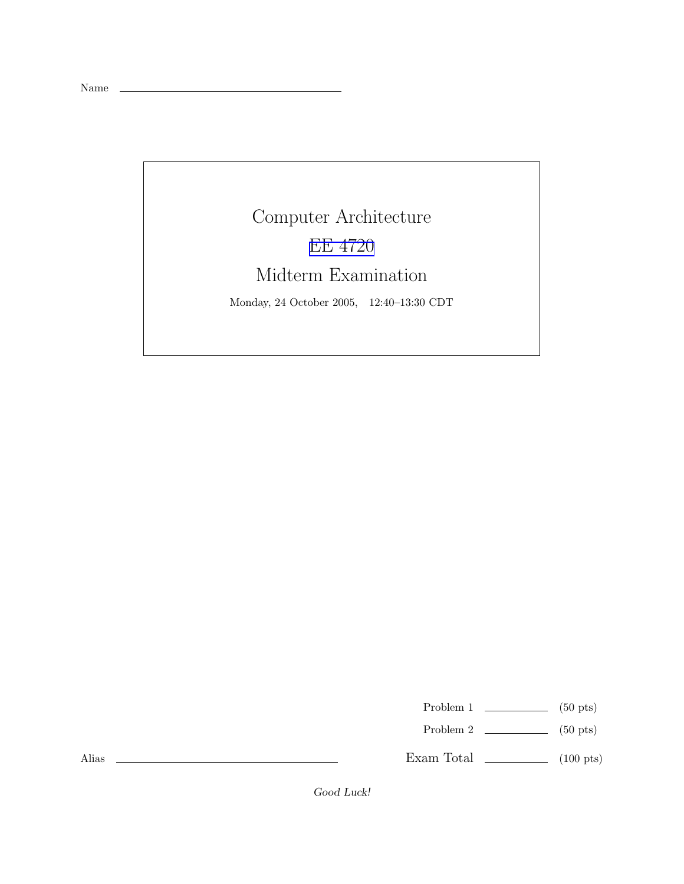Name

## Computer Architecture EE [4720](http://www.ece.lsu.edu/ee4720/) Midterm Examination

Monday, 24 October 2005, 12:40–13:30 CDT

Problem 1  $\qquad \qquad$  (50 pts)

Problem 2  $\qquad \qquad$  (50 pts)

Exam Total  $\qquad \qquad$  (100 pts)

Alias

Good Luck!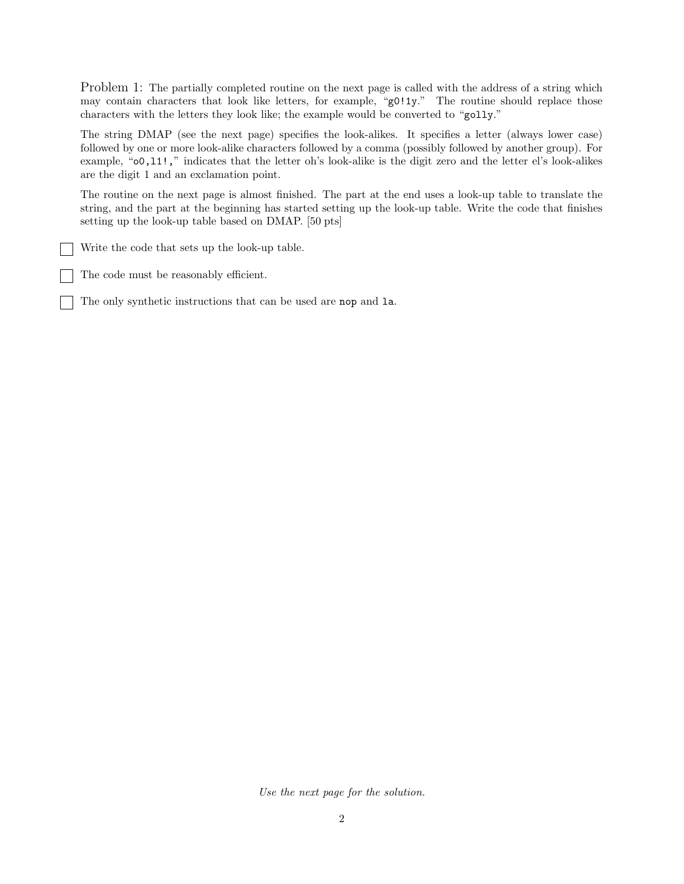Problem 1: The partially completed routine on the next page is called with the address of a string which may contain characters that look like letters, for example, "g0!1y." The routine should replace those characters with the letters they look like; the example would be converted to "golly."

The string DMAP (see the next page) specifies the look-alikes. It specifies a letter (always lower case) followed by one or more look-alike characters followed by a comma (possibly followed by another group). For example, "o0,l1!," indicates that the letter oh's look-alike is the digit zero and the letter el's look-alikes are the digit 1 and an exclamation point.

The routine on the next page is almost finished. The part at the end uses a look-up table to translate the string, and the part at the beginning has started setting up the look-up table. Write the code that finishes setting up the look-up table based on DMAP. [50 pts]

Write the code that sets up the look-up table.

The code must be reasonably efficient.

The only synthetic instructions that can be used are nop and la.

Use the next page for the solution.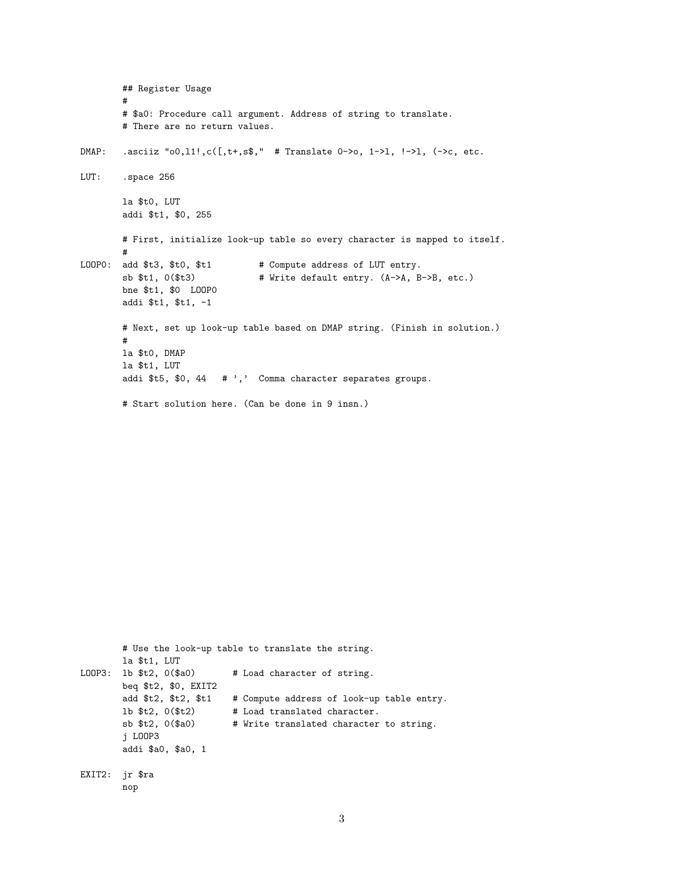```
## Register Usage
        ## $a0: Procedure call argument. Address of string to translate.
       # There are no return values.
      .asciiz "o0,11!,c([,t+,s$," # Translate 0->o, 1->1, !->1, (->c, etc.
DMAP:LUT:
       .space 256
       la $t0, LUT
       addi $t1, $0, 255
       # First, initialize look-up table so every character is mapped to itself.
LOOPO: add $t3, $t0, $t1
                                 # Compute address of LUT entry.
        sb $t1, 0($t3)
                                 # Write default entry. (A->A, B->B, etc.)
       bne $t1, $0 LOOPO
       addi $t1, $t1, -1
       # Next, set up look-up table based on DMAP string. (Finish in solution.)
       #la $t0, DMAP
       la $t1, LUT
       addi $t5, $0, 44 # ',' Comma character separates groups.
       # Start solution here. (Can be done in 9 insn.)
```

```
# Use the look-up table to translate the string.
       la $t1, LUT
LOOP3: 1b $t2, 0($a0)
                            # Load character of string.
       beq $t2, $0, EXIT2
       add $t2, $t2, $t1 # Compute address of look-up table entry.
       lb $t2, 0($t2)
                          # Load translated character.
       sb t2, 0s30)# Write translated character to string.
       j LOOP3
       addi $a0, $a0, 1
EXIT2: jr $ra
       nop
```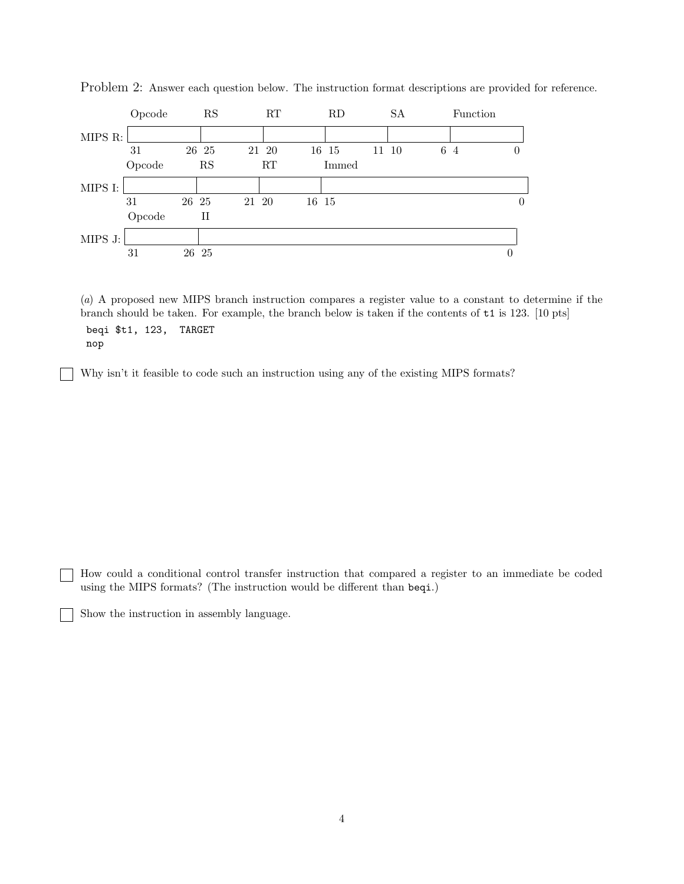

Problem 2: Answer each question below. The instruction format descriptions are provided for reference.

(a) A proposed new MIPS branch instruction compares a register value to a constant to determine if the branch should be taken. For example, the branch below is taken if the contents of t1 is 123. [10 pts] beqi \$t1, 123, TARGET nop

Why isn't it feasible to code such an instruction using any of the existing MIPS formats?

How could a conditional control transfer instruction that compared a register to an immediate be coded using the MIPS formats? (The instruction would be different than beqi.)

Show the instruction in assembly language.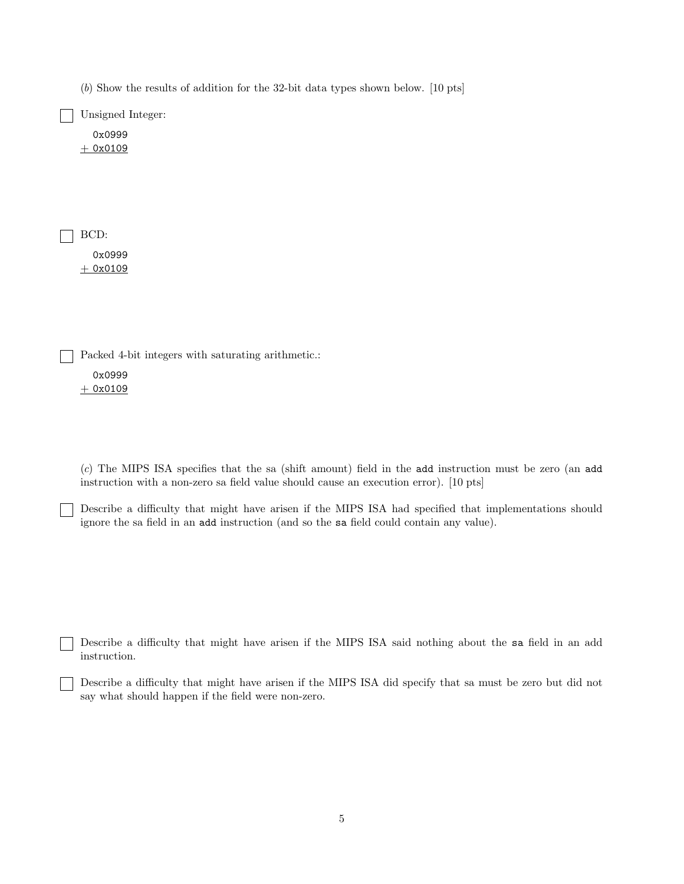(b) Show the results of addition for the 32-bit data types shown below. [10 pts]

Unsigned Integer:

0x0999  $+ 0x0109$ 

BCD: 0x0999

 $+ 0x0109$ 

Packed 4-bit integers with saturating arithmetic.:

0x0999  $+ 0x0109$ 

(c) The MIPS ISA specifies that the sa (shift amount) field in the add instruction must be zero (an add instruction with a non-zero sa field value should cause an execution error). [10 pts]

Describe a difficulty that might have arisen if the MIPS ISA had specified that implementations should ignore the sa field in an add instruction (and so the sa field could contain any value).

Describe a difficulty that might have arisen if the MIPS ISA said nothing about the sa field in an add instruction.

Describe a difficulty that might have arisen if the MIPS ISA did specify that sa must be zero but did not say what should happen if the field were non-zero.